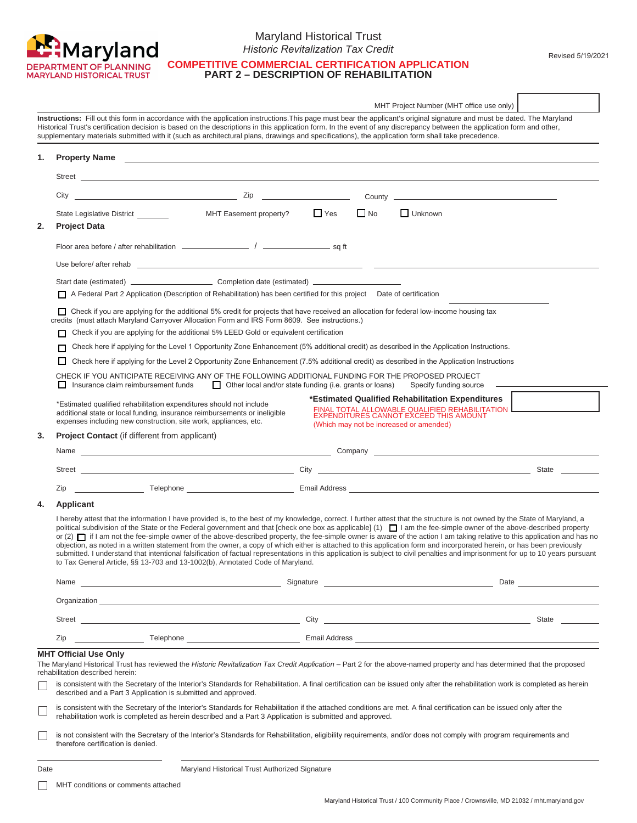

### Maryland Historical Trust *Historic Revitalization Tax Credit*

**COMPETITIVE COMMERCIAL CERTIFICATION APPLICATION PART 2 – DESCRIPTION OF REHABILITATION**

|    |                                                                                                                                                                                                                                                                                                                                                                                                                                                                                                                                                                                                                                                                                                                                                                                                                                                                                                                                                                                    |                                                                                                                                          | MHT Project Number (MHT office use only)                                                                                                       |       |  |  |
|----|------------------------------------------------------------------------------------------------------------------------------------------------------------------------------------------------------------------------------------------------------------------------------------------------------------------------------------------------------------------------------------------------------------------------------------------------------------------------------------------------------------------------------------------------------------------------------------------------------------------------------------------------------------------------------------------------------------------------------------------------------------------------------------------------------------------------------------------------------------------------------------------------------------------------------------------------------------------------------------|------------------------------------------------------------------------------------------------------------------------------------------|------------------------------------------------------------------------------------------------------------------------------------------------|-------|--|--|
|    | Instructions: Fill out this form in accordance with the application instructions. This page must bear the applicant's original signature and must be dated. The Maryland<br>Historical Trust's certification decision is based on the descriptions in this application form. In the event of any discrepancy between the application form and other,<br>supplementary materials submitted with it (such as architectural plans, drawings and specifications), the application form shall take precedence.                                                                                                                                                                                                                                                                                                                                                                                                                                                                          |                                                                                                                                          |                                                                                                                                                |       |  |  |
| 1. | <b>Property Name</b>                                                                                                                                                                                                                                                                                                                                                                                                                                                                                                                                                                                                                                                                                                                                                                                                                                                                                                                                                               | <u> 1989 - Johann Stoff, amerikansk politiker (d. 1989)</u>                                                                              |                                                                                                                                                |       |  |  |
|    |                                                                                                                                                                                                                                                                                                                                                                                                                                                                                                                                                                                                                                                                                                                                                                                                                                                                                                                                                                                    |                                                                                                                                          |                                                                                                                                                |       |  |  |
|    | $City$ $Zip$                                                                                                                                                                                                                                                                                                                                                                                                                                                                                                                                                                                                                                                                                                                                                                                                                                                                                                                                                                       | County _                                                                                                                                 |                                                                                                                                                |       |  |  |
| 2. | State Legislative District<br>MHT Easement property?<br><b>Project Data</b>                                                                                                                                                                                                                                                                                                                                                                                                                                                                                                                                                                                                                                                                                                                                                                                                                                                                                                        | $\Box$ Yes<br>$\Box$ No                                                                                                                  | $\Box$ Unknown                                                                                                                                 |       |  |  |
|    |                                                                                                                                                                                                                                                                                                                                                                                                                                                                                                                                                                                                                                                                                                                                                                                                                                                                                                                                                                                    |                                                                                                                                          |                                                                                                                                                |       |  |  |
|    |                                                                                                                                                                                                                                                                                                                                                                                                                                                                                                                                                                                                                                                                                                                                                                                                                                                                                                                                                                                    |                                                                                                                                          |                                                                                                                                                |       |  |  |
|    |                                                                                                                                                                                                                                                                                                                                                                                                                                                                                                                                                                                                                                                                                                                                                                                                                                                                                                                                                                                    |                                                                                                                                          |                                                                                                                                                |       |  |  |
|    | A Federal Part 2 Application (Description of Rehabilitation) has been certified for this project Date of certification                                                                                                                                                                                                                                                                                                                                                                                                                                                                                                                                                                                                                                                                                                                                                                                                                                                             |                                                                                                                                          |                                                                                                                                                |       |  |  |
|    | □ Check if you are applying for the additional 5% credit for projects that have received an allocation for federal low-income housing tax<br>(must attach Maryland Carryover Allocation Form and IRS Form 8609. See instructions.)<br>credits                                                                                                                                                                                                                                                                                                                                                                                                                                                                                                                                                                                                                                                                                                                                      |                                                                                                                                          |                                                                                                                                                |       |  |  |
|    |                                                                                                                                                                                                                                                                                                                                                                                                                                                                                                                                                                                                                                                                                                                                                                                                                                                                                                                                                                                    | Check if you are applying for the additional 5% LEED Gold or equivalent certification                                                    |                                                                                                                                                |       |  |  |
|    |                                                                                                                                                                                                                                                                                                                                                                                                                                                                                                                                                                                                                                                                                                                                                                                                                                                                                                                                                                                    | Check here if applying for the Level 1 Opportunity Zone Enhancement (5% additional credit) as described in the Application Instructions. |                                                                                                                                                |       |  |  |
|    | Check here if applying for the Level 2 Opportunity Zone Enhancement (7.5% additional credit) as described in the Application Instructions                                                                                                                                                                                                                                                                                                                                                                                                                                                                                                                                                                                                                                                                                                                                                                                                                                          |                                                                                                                                          |                                                                                                                                                |       |  |  |
|    | CHECK IF YOU ANTICIPATE RECEIVING ANY OF THE FOLLOWING ADDITIONAL FUNDING FOR THE PROPOSED PROJECT<br>Insurance claim reimbursement funds                                                                                                                                                                                                                                                                                                                                                                                                                                                                                                                                                                                                                                                                                                                                                                                                                                          | Other local and/or state funding (i.e. grants or loans)                                                                                  | Specify funding source                                                                                                                         |       |  |  |
|    | *Estimated qualified rehabilitation expenditures should not include<br>additional state or local funding, insurance reimbursements or ineligible<br>expenses including new construction, site work, appliances, etc.                                                                                                                                                                                                                                                                                                                                                                                                                                                                                                                                                                                                                                                                                                                                                               | (Which may not be increased or amended)                                                                                                  | *Estimated Qualified Rehabilitation Expenditures<br>FINAL TOTAL ALLOWABLE QUALIFIED REHABILITATION I<br>EXPENDITURES CANNOT EXCEED THIS AMOUNT |       |  |  |
| 3. | <b>Project Contact</b> (if different from applicant)                                                                                                                                                                                                                                                                                                                                                                                                                                                                                                                                                                                                                                                                                                                                                                                                                                                                                                                               |                                                                                                                                          |                                                                                                                                                |       |  |  |
|    |                                                                                                                                                                                                                                                                                                                                                                                                                                                                                                                                                                                                                                                                                                                                                                                                                                                                                                                                                                                    |                                                                                                                                          |                                                                                                                                                |       |  |  |
|    |                                                                                                                                                                                                                                                                                                                                                                                                                                                                                                                                                                                                                                                                                                                                                                                                                                                                                                                                                                                    |                                                                                                                                          |                                                                                                                                                | State |  |  |
|    | <b>Example 2018</b> Telephone <u>Contract Communication</u> Email Address Communication of the Communication of the Communication of the Communication of the Communication of the Communication of the Communication of the Communicati<br>Zip                                                                                                                                                                                                                                                                                                                                                                                                                                                                                                                                                                                                                                                                                                                                    |                                                                                                                                          |                                                                                                                                                |       |  |  |
| 4. | <b>Applicant</b>                                                                                                                                                                                                                                                                                                                                                                                                                                                                                                                                                                                                                                                                                                                                                                                                                                                                                                                                                                   |                                                                                                                                          |                                                                                                                                                |       |  |  |
|    | I hereby attest that the information I have provided is, to the best of my knowledge, correct. I further attest that the structure is not owned by the State of Maryland, a<br>political subdivision of the State or the Federal government and that [check one box as applicable] (1) I am the fee-simple owner of the above-described property<br>or (2) $\Box$ if I am not the fee-simple owner of the above-described property, the fee-simple owner is aware of the action I am taking relative to this application and has no<br>objection, as noted in a written statement from the owner, a copy of which either is attached to this application form and incorporated herein, or has been previously<br>submitted. I understand that intentional falsification of factual representations in this application is subject to civil penalties and imprisonment for up to 10 years pursuant<br>to Tax General Article, §§ 13-703 and 13-1002(b), Annotated Code of Maryland. |                                                                                                                                          |                                                                                                                                                |       |  |  |
|    |                                                                                                                                                                                                                                                                                                                                                                                                                                                                                                                                                                                                                                                                                                                                                                                                                                                                                                                                                                                    |                                                                                                                                          |                                                                                                                                                |       |  |  |
|    |                                                                                                                                                                                                                                                                                                                                                                                                                                                                                                                                                                                                                                                                                                                                                                                                                                                                                                                                                                                    |                                                                                                                                          |                                                                                                                                                |       |  |  |
|    |                                                                                                                                                                                                                                                                                                                                                                                                                                                                                                                                                                                                                                                                                                                                                                                                                                                                                                                                                                                    |                                                                                                                                          |                                                                                                                                                | State |  |  |
|    | Zip                                                                                                                                                                                                                                                                                                                                                                                                                                                                                                                                                                                                                                                                                                                                                                                                                                                                                                                                                                                |                                                                                                                                          |                                                                                                                                                |       |  |  |
|    | <b>MHT Official Use Only</b><br>The Maryland Historical Trust has reviewed the Historic Revitalization Tax Credit Application - Part 2 for the above-named property and has determined that the proposed<br>rehabilitation described herein:<br>is consistent with the Secretary of the Interior's Standards for Rehabilitation. A final certification can be issued only after the rehabilitation work is completed as herein<br>described and a Part 3 Application is submitted and approved.                                                                                                                                                                                                                                                                                                                                                                                                                                                                                    |                                                                                                                                          |                                                                                                                                                |       |  |  |
|    | is consistent with the Secretary of the Interior's Standards for Rehabilitation if the attached conditions are met. A final certification can be issued only after the<br>rehabilitation work is completed as herein described and a Part 3 Application is submitted and approved.                                                                                                                                                                                                                                                                                                                                                                                                                                                                                                                                                                                                                                                                                                 |                                                                                                                                          |                                                                                                                                                |       |  |  |
|    | is not consistent with the Secretary of the Interior's Standards for Rehabilitation, eligibility requirements, and/or does not comply with program requirements and<br>therefore certification is denied.                                                                                                                                                                                                                                                                                                                                                                                                                                                                                                                                                                                                                                                                                                                                                                          |                                                                                                                                          |                                                                                                                                                |       |  |  |

Date **Date** Maryland Historical Trust Authorized Signature

**MHT** conditions or comments attached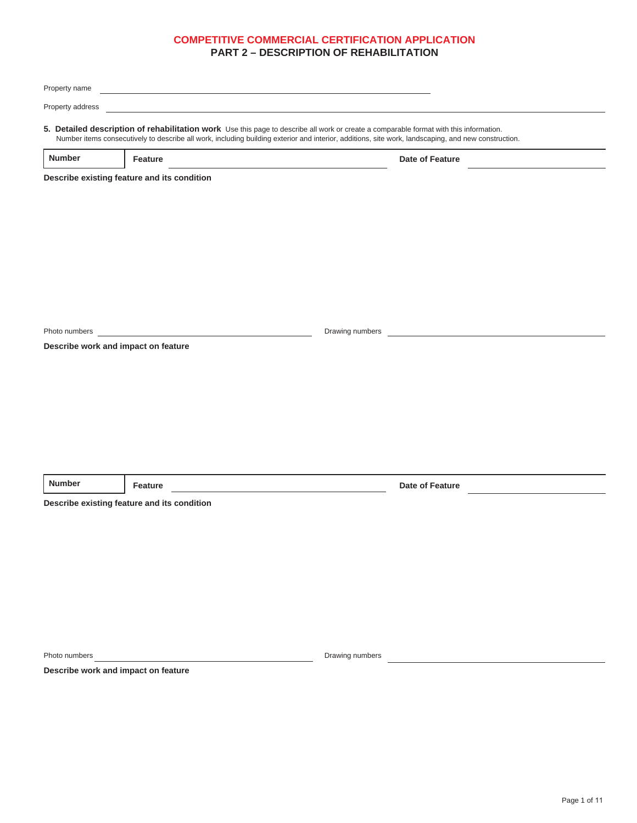| Property name    | <u> 1989 - Johann Stein, mars an deutscher Stein und der Stein und der Stein und der Stein und der Stein und der</u>                                                                                                                                                                          |                 |                 |  |
|------------------|-----------------------------------------------------------------------------------------------------------------------------------------------------------------------------------------------------------------------------------------------------------------------------------------------|-----------------|-----------------|--|
| Property address |                                                                                                                                                                                                                                                                                               |                 |                 |  |
|                  | 5. Detailed description of rehabilitation work Use this page to describe all work or create a comparable format with this information.<br>Number items consecutively to describe all work, including building exterior and interior, additions, site work, landscaping, and new construction. |                 |                 |  |
| <b>Number</b>    | Feature                                                                                                                                                                                                                                                                                       |                 | Date of Feature |  |
|                  | Describe existing feature and its condition                                                                                                                                                                                                                                                   |                 |                 |  |
|                  |                                                                                                                                                                                                                                                                                               |                 |                 |  |
|                  |                                                                                                                                                                                                                                                                                               |                 |                 |  |
|                  |                                                                                                                                                                                                                                                                                               |                 |                 |  |
|                  |                                                                                                                                                                                                                                                                                               |                 |                 |  |
|                  |                                                                                                                                                                                                                                                                                               |                 |                 |  |
|                  |                                                                                                                                                                                                                                                                                               |                 |                 |  |
| Photo numbers    |                                                                                                                                                                                                                                                                                               | Drawing numbers |                 |  |
|                  | Describe work and impact on feature                                                                                                                                                                                                                                                           |                 |                 |  |
|                  |                                                                                                                                                                                                                                                                                               |                 |                 |  |
|                  |                                                                                                                                                                                                                                                                                               |                 |                 |  |
|                  |                                                                                                                                                                                                                                                                                               |                 |                 |  |
|                  |                                                                                                                                                                                                                                                                                               |                 |                 |  |
|                  |                                                                                                                                                                                                                                                                                               |                 |                 |  |
| <b>Number</b>    | Feature                                                                                                                                                                                                                                                                                       |                 | Date of Feature |  |
|                  | Describe existing feature and its condition                                                                                                                                                                                                                                                   |                 |                 |  |
|                  |                                                                                                                                                                                                                                                                                               |                 |                 |  |
|                  |                                                                                                                                                                                                                                                                                               |                 |                 |  |
|                  |                                                                                                                                                                                                                                                                                               |                 |                 |  |
|                  |                                                                                                                                                                                                                                                                                               |                 |                 |  |
|                  |                                                                                                                                                                                                                                                                                               |                 |                 |  |
|                  |                                                                                                                                                                                                                                                                                               |                 |                 |  |
|                  |                                                                                                                                                                                                                                                                                               |                 |                 |  |
| Photo numbers    | Describe work and impact on feature                                                                                                                                                                                                                                                           | Drawing numbers |                 |  |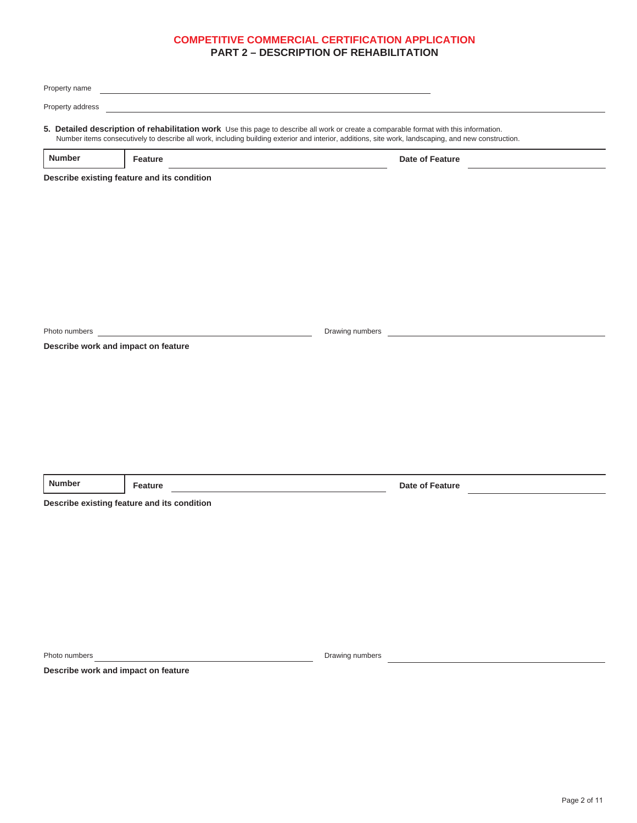| Property name    | <u> 1989 - Johann Stein, mars an deutscher Stein und der Stein und der Stein und der Stein und der Stein und der</u>                                                                                                                                                                          |                 |                 |  |
|------------------|-----------------------------------------------------------------------------------------------------------------------------------------------------------------------------------------------------------------------------------------------------------------------------------------------|-----------------|-----------------|--|
| Property address |                                                                                                                                                                                                                                                                                               |                 |                 |  |
|                  | 5. Detailed description of rehabilitation work Use this page to describe all work or create a comparable format with this information.<br>Number items consecutively to describe all work, including building exterior and interior, additions, site work, landscaping, and new construction. |                 |                 |  |
| <b>Number</b>    | Feature                                                                                                                                                                                                                                                                                       |                 | Date of Feature |  |
|                  | Describe existing feature and its condition                                                                                                                                                                                                                                                   |                 |                 |  |
|                  |                                                                                                                                                                                                                                                                                               |                 |                 |  |
|                  |                                                                                                                                                                                                                                                                                               |                 |                 |  |
|                  |                                                                                                                                                                                                                                                                                               |                 |                 |  |
|                  |                                                                                                                                                                                                                                                                                               |                 |                 |  |
|                  |                                                                                                                                                                                                                                                                                               |                 |                 |  |
|                  |                                                                                                                                                                                                                                                                                               |                 |                 |  |
| Photo numbers    |                                                                                                                                                                                                                                                                                               | Drawing numbers |                 |  |
|                  | Describe work and impact on feature                                                                                                                                                                                                                                                           |                 |                 |  |
|                  |                                                                                                                                                                                                                                                                                               |                 |                 |  |
|                  |                                                                                                                                                                                                                                                                                               |                 |                 |  |
|                  |                                                                                                                                                                                                                                                                                               |                 |                 |  |
|                  |                                                                                                                                                                                                                                                                                               |                 |                 |  |
|                  |                                                                                                                                                                                                                                                                                               |                 |                 |  |
| <b>Number</b>    | Feature                                                                                                                                                                                                                                                                                       |                 | Date of Feature |  |
|                  | Describe existing feature and its condition                                                                                                                                                                                                                                                   |                 |                 |  |
|                  |                                                                                                                                                                                                                                                                                               |                 |                 |  |
|                  |                                                                                                                                                                                                                                                                                               |                 |                 |  |
|                  |                                                                                                                                                                                                                                                                                               |                 |                 |  |
|                  |                                                                                                                                                                                                                                                                                               |                 |                 |  |
|                  |                                                                                                                                                                                                                                                                                               |                 |                 |  |
|                  |                                                                                                                                                                                                                                                                                               |                 |                 |  |
|                  |                                                                                                                                                                                                                                                                                               |                 |                 |  |
| Photo numbers    | Describe work and impact on feature                                                                                                                                                                                                                                                           | Drawing numbers |                 |  |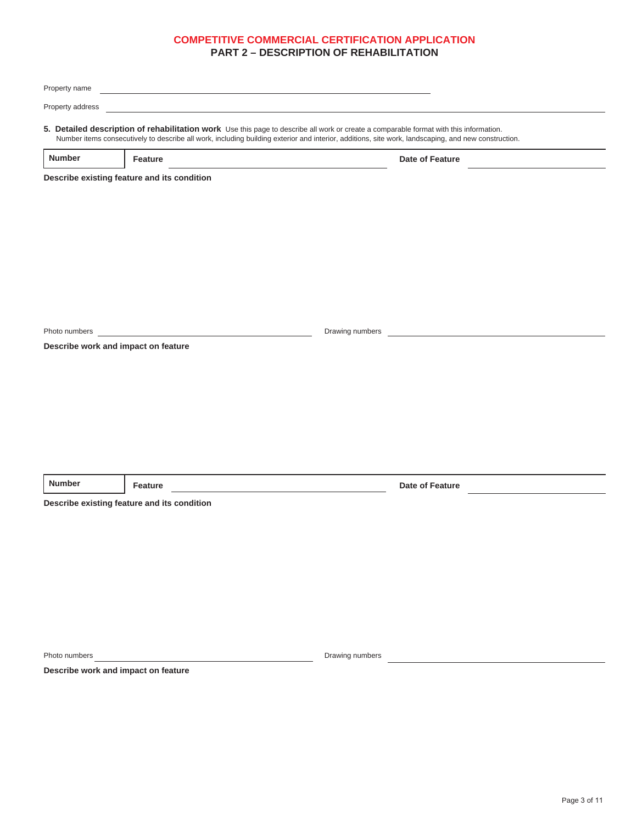| Property name    | <u> 1989 - Johann Stein, mars an deutscher Stein und der Stein und der Stein und der Stein und der Stein und der</u>                                                                                                                                                                          |                 |                 |  |
|------------------|-----------------------------------------------------------------------------------------------------------------------------------------------------------------------------------------------------------------------------------------------------------------------------------------------|-----------------|-----------------|--|
| Property address |                                                                                                                                                                                                                                                                                               |                 |                 |  |
|                  | 5. Detailed description of rehabilitation work Use this page to describe all work or create a comparable format with this information.<br>Number items consecutively to describe all work, including building exterior and interior, additions, site work, landscaping, and new construction. |                 |                 |  |
| <b>Number</b>    | Feature                                                                                                                                                                                                                                                                                       |                 | Date of Feature |  |
|                  | Describe existing feature and its condition                                                                                                                                                                                                                                                   |                 |                 |  |
|                  |                                                                                                                                                                                                                                                                                               |                 |                 |  |
|                  |                                                                                                                                                                                                                                                                                               |                 |                 |  |
|                  |                                                                                                                                                                                                                                                                                               |                 |                 |  |
|                  |                                                                                                                                                                                                                                                                                               |                 |                 |  |
|                  |                                                                                                                                                                                                                                                                                               |                 |                 |  |
|                  |                                                                                                                                                                                                                                                                                               |                 |                 |  |
| Photo numbers    |                                                                                                                                                                                                                                                                                               | Drawing numbers |                 |  |
|                  | Describe work and impact on feature                                                                                                                                                                                                                                                           |                 |                 |  |
|                  |                                                                                                                                                                                                                                                                                               |                 |                 |  |
|                  |                                                                                                                                                                                                                                                                                               |                 |                 |  |
|                  |                                                                                                                                                                                                                                                                                               |                 |                 |  |
|                  |                                                                                                                                                                                                                                                                                               |                 |                 |  |
|                  |                                                                                                                                                                                                                                                                                               |                 |                 |  |
| <b>Number</b>    | Feature                                                                                                                                                                                                                                                                                       |                 | Date of Feature |  |
|                  | Describe existing feature and its condition                                                                                                                                                                                                                                                   |                 |                 |  |
|                  |                                                                                                                                                                                                                                                                                               |                 |                 |  |
|                  |                                                                                                                                                                                                                                                                                               |                 |                 |  |
|                  |                                                                                                                                                                                                                                                                                               |                 |                 |  |
|                  |                                                                                                                                                                                                                                                                                               |                 |                 |  |
|                  |                                                                                                                                                                                                                                                                                               |                 |                 |  |
|                  |                                                                                                                                                                                                                                                                                               |                 |                 |  |
|                  |                                                                                                                                                                                                                                                                                               |                 |                 |  |
| Photo numbers    | Describe work and impact on feature                                                                                                                                                                                                                                                           | Drawing numbers |                 |  |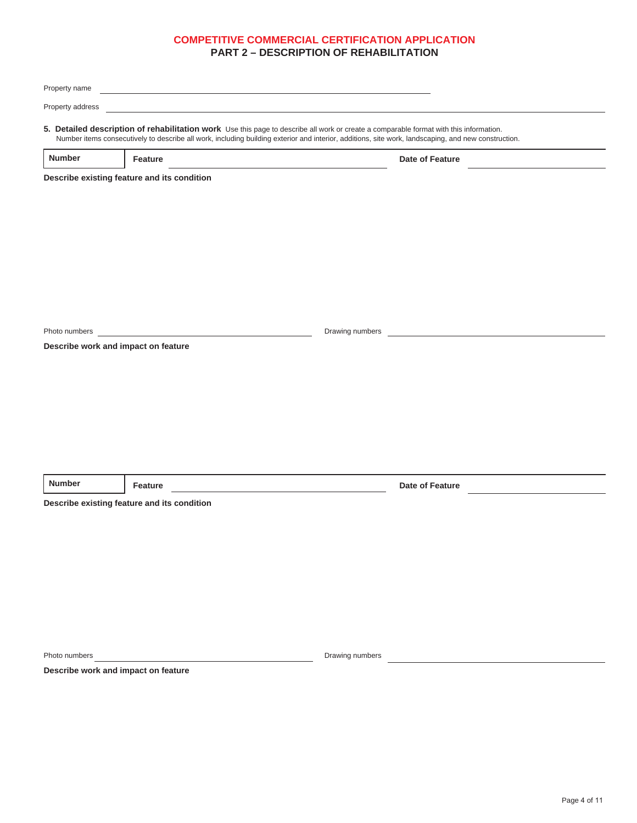| Property name    | <u> 1989 - Andrea Station Barbara, amerikan personal (h. 1989).</u>                                                                                                                                                                                                                           |                 |                                                                                                                      |  |
|------------------|-----------------------------------------------------------------------------------------------------------------------------------------------------------------------------------------------------------------------------------------------------------------------------------------------|-----------------|----------------------------------------------------------------------------------------------------------------------|--|
| Property address |                                                                                                                                                                                                                                                                                               |                 |                                                                                                                      |  |
|                  | 5. Detailed description of rehabilitation work Use this page to describe all work or create a comparable format with this information.<br>Number items consecutively to describe all work, including building exterior and interior, additions, site work, landscaping, and new construction. |                 |                                                                                                                      |  |
| <b>Number</b>    | <b>Feature</b>                                                                                                                                                                                                                                                                                |                 | Date of Feature                                                                                                      |  |
|                  | Describe existing feature and its condition                                                                                                                                                                                                                                                   |                 |                                                                                                                      |  |
|                  |                                                                                                                                                                                                                                                                                               |                 |                                                                                                                      |  |
|                  |                                                                                                                                                                                                                                                                                               |                 |                                                                                                                      |  |
|                  |                                                                                                                                                                                                                                                                                               |                 |                                                                                                                      |  |
|                  |                                                                                                                                                                                                                                                                                               |                 |                                                                                                                      |  |
|                  |                                                                                                                                                                                                                                                                                               |                 |                                                                                                                      |  |
|                  |                                                                                                                                                                                                                                                                                               |                 |                                                                                                                      |  |
| Photo numbers    |                                                                                                                                                                                                                                                                                               | Drawing numbers | <u> 1980 - Jan Stein Stein Stein Stein Stein Stein Stein Stein Stein Stein Stein Stein Stein Stein Stein Stein S</u> |  |
|                  | Describe work and impact on feature                                                                                                                                                                                                                                                           |                 |                                                                                                                      |  |
|                  |                                                                                                                                                                                                                                                                                               |                 |                                                                                                                      |  |
|                  |                                                                                                                                                                                                                                                                                               |                 |                                                                                                                      |  |
|                  |                                                                                                                                                                                                                                                                                               |                 |                                                                                                                      |  |
|                  |                                                                                                                                                                                                                                                                                               |                 |                                                                                                                      |  |
|                  |                                                                                                                                                                                                                                                                                               |                 |                                                                                                                      |  |
| <b>Number</b>    | Feature                                                                                                                                                                                                                                                                                       |                 | <b>Date of Feature</b>                                                                                               |  |
|                  | the control of the control of the control of the control of<br>Describe existing feature and its condition                                                                                                                                                                                    |                 |                                                                                                                      |  |
|                  |                                                                                                                                                                                                                                                                                               |                 |                                                                                                                      |  |
|                  |                                                                                                                                                                                                                                                                                               |                 |                                                                                                                      |  |
|                  |                                                                                                                                                                                                                                                                                               |                 |                                                                                                                      |  |
|                  |                                                                                                                                                                                                                                                                                               |                 |                                                                                                                      |  |
|                  |                                                                                                                                                                                                                                                                                               |                 |                                                                                                                      |  |
|                  |                                                                                                                                                                                                                                                                                               |                 |                                                                                                                      |  |
| Photo numbers    |                                                                                                                                                                                                                                                                                               | Drawing numbers |                                                                                                                      |  |
|                  | Describe work and impact on feature                                                                                                                                                                                                                                                           |                 |                                                                                                                      |  |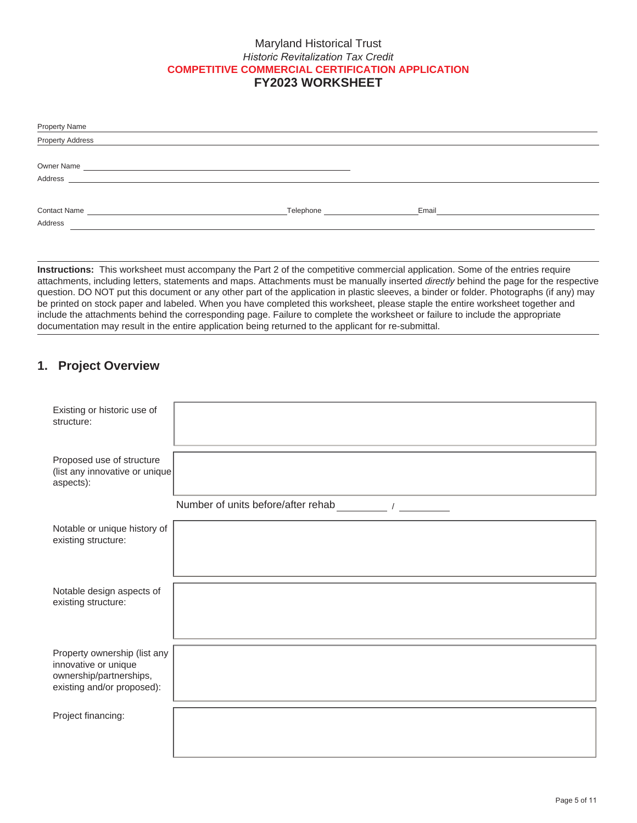### Maryland Historical Trust *Historic Revitalization Tax Credit*  **COMPETITIVE COMMERCIAL CERTIFICATION APPLICATION FY2023 WORKSHEET**

| <b>Property Name</b>                                                    |           |       |
|-------------------------------------------------------------------------|-----------|-------|
| <b>Property Address</b>                                                 |           |       |
|                                                                         |           |       |
| Owner Name<br><u> 1989 - John Stein, Amerikaansk politiker (* 1908)</u> |           |       |
| Address<br><u> 1989 - Jan Samuel Barbara, martin d</u>                  |           |       |
|                                                                         |           |       |
| <b>Contact Name</b><br>the control of the control of the control of     | Telephone | Email |
| Address                                                                 |           |       |
|                                                                         |           |       |

**Instructions:** This worksheet must accompany the Part 2 of the competitive commercial application. Some of the entries require attachments, including letters, statements and maps. Attachments must be manually inserted *directly* behind the page for the respective question. DO NOT put this document or any other part of the application in plastic sleeves, a binder or folder. Photographs (if any) may be printed on stock paper and labeled. When you have completed this worksheet, please staple the entire worksheet together and include the attachments behind the corresponding page. Failure to complete the worksheet or failure to include the appropriate documentation may result in the entire application being returned to the applicant for re-submittal.

### **1. Project Overview**

| Existing or historic use of<br>structure:                                                                     |                                      |
|---------------------------------------------------------------------------------------------------------------|--------------------------------------|
| Proposed use of structure<br>(list any innovative or unique<br>aspects):                                      |                                      |
|                                                                                                               | Number of units before/after rehab / |
| Notable or unique history of<br>existing structure:                                                           |                                      |
|                                                                                                               |                                      |
| Notable design aspects of<br>existing structure:                                                              |                                      |
| Property ownership (list any<br>innovative or unique<br>ownership/partnerships,<br>existing and/or proposed): |                                      |
| Project financing:                                                                                            |                                      |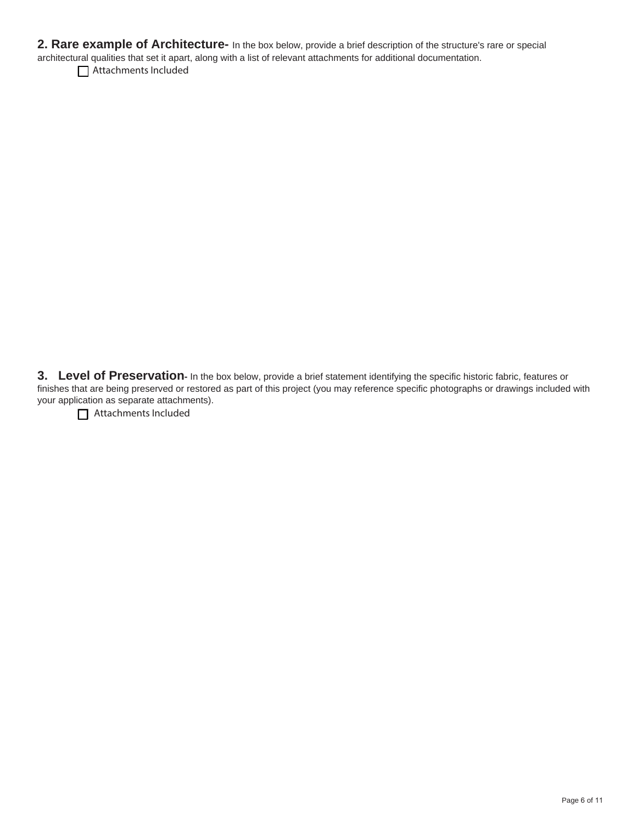**2. Rare example of Architecture-** In the box below, provide a brief description of the structure's rare or special architectural qualities that set it apart, along with a list of relevant attachments for additional documentation.

Attachments Included

**3.** Level of Preservation- In the box below, provide a brief statement identifying the specific historic fabric, features or finishes that are being preserved or restored as part of this project (you may reference specific photographs or drawings included with your application as separate attachments).

Attachments Included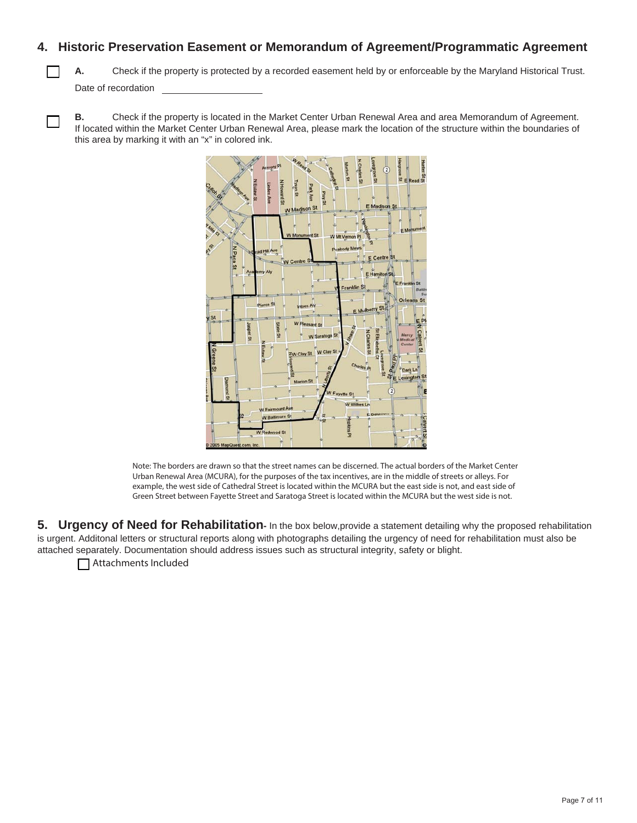### **4. Historic Preservation Easement or Memorandum of Agreement/Programmatic Agreement**

**A.** Check if the property is protected by a recorded easement held by or enforceable by the Maryland Historical Trust. Date of recordation

**B.** Check if the property is located in the Market Center Urban Renewal Area and area Memorandum of Agreement. If located within the Market Center Urban Renewal Area, please mark the location of the structure within the boundaries of this area by marking it with an "x" in colored ink.



Note: The borders are drawn so that the street names can be discerned. The actual borders of the Market Center Urban Renewal Area (MCURA), for the purposes of the tax incentives, are in the middle of streets or alleys. For example, the west side of Cathedral Street is located within the MCURA but the east side is not, and east side of Green Street between Fayette Street and Saratoga Street is located within the MCURA but the west side is not.

**5. Urgency of Need for Rehabilitation-** In the box below, provide a statement detailing why the proposed rehabilitation is urgent. Additonal letters or structural reports along with photographs detailing the urgency of need for rehabilitation must also be attached separately. Documentation should address issues such as structural integrity, safety or blight.

Attachments Included

 $\Box$ 

Г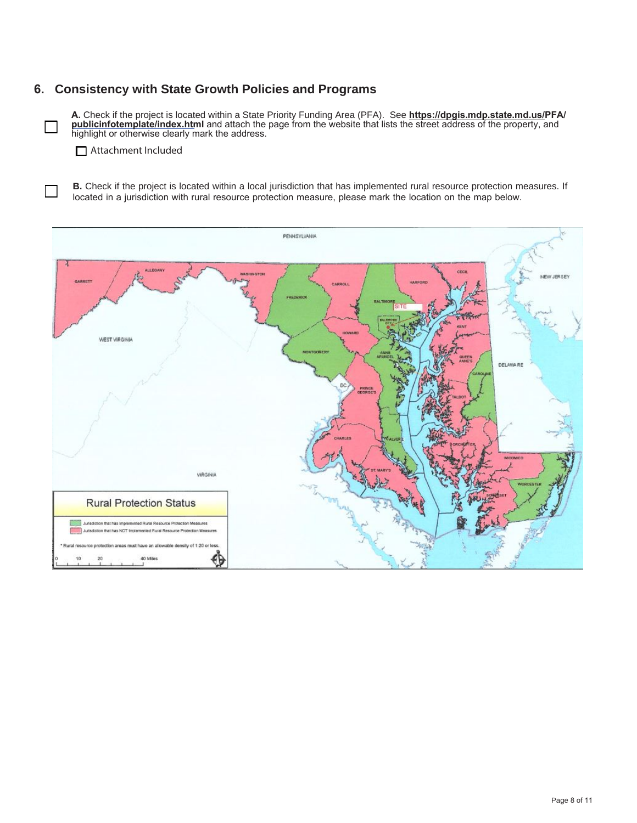### **6. Consistency with State Growth Policies and Programs**

**A.** Check if the project is located within a State Priority Funding Area (PFA). See **[https://dpgis.mdp.state.md.us/P](http://planning.maryland.gov/ourproducts/pfamap.shtml)FA/ publicinfotemplate/index.html** and attach the page from the website that lists the street address of the property, and highlight or otherwise clearly mark the address.

**□** Attachment Included

 $\Box$ 

**B.** Check if the project is located within a local jurisdiction that has implemented rural resource protection measures. If located in a jurisdiction with rural resource protection measure, please mark the location on the map below.

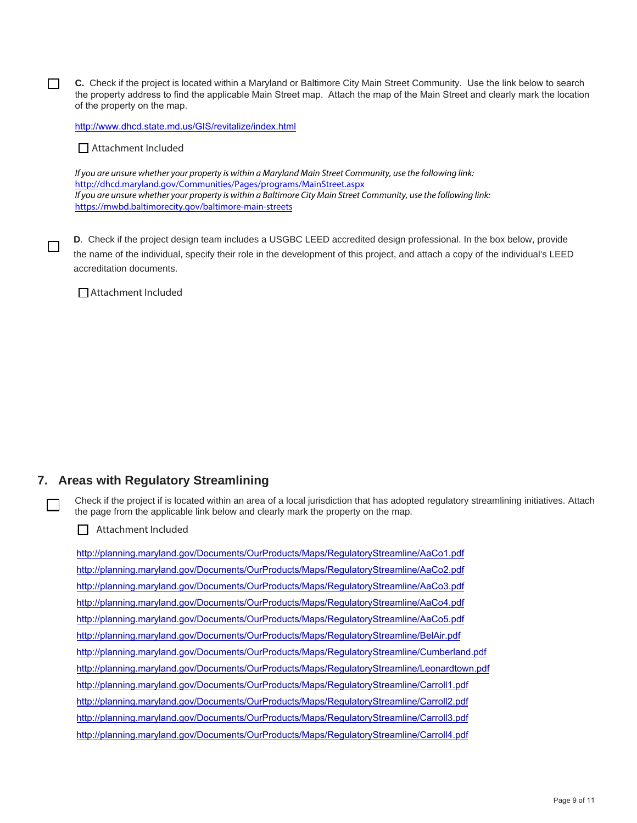**C.** Check if the project is located within a Maryland or Baltimore City Main Street Community. Use the link below to search the property address to find the applicable Main Street map. Attach the map of the Main Street and clearly mark the location of the property on the map.

<http://www.dhcd.state.md.us/GIS/revitalize/index.html>

■ Attachment Included

П

П

 $\Box$ 

If you are unsure whether your property is within a Maryland Main Street Community, use the following link: <http://dhcd.maryland.gov/Communities/Pages/programs/MainStreet.aspx> If you are unsure whether your property is within a Baltimore City Main Street Community, use the following link: <https://mwbd.baltimorecity.gov/baltimore-main-streets>

**D**. Check if the project design team includes a USGBC LEED accredited design professional. In the box below, provide the name of the individual, specify their role in the development of this project, and attach a copy of the individual's LEED accreditation documents.

**□**Attachment Included

#### **7. Areas with Regulatory Streamlining**

Check if the project if is located within an area of a local jurisdiction that has adopted regulatory streamlining initiatives. Attach the page from the applicable link below and clearly mark the property on the map.

□ Attachment Included

<http://planning.maryland.gov/Documents/OurProducts/Maps/RegulatoryStreamline/AaCo1.pdf> <http://planning.maryland.gov/Documents/OurProducts/Maps/RegulatoryStreamline/AaCo2.pdf> <http://planning.maryland.gov/Documents/OurProducts/Maps/RegulatoryStreamline/AaCo3.pdf> <http://planning.maryland.gov/Documents/OurProducts/Maps/RegulatoryStreamline/AaCo4.pdf> <http://planning.maryland.gov/Documents/OurProducts/Maps/RegulatoryStreamline/AaCo5.pdf> <http://planning.maryland.gov/Documents/OurProducts/Maps/RegulatoryStreamline/BelAir.pdf> <http://planning.maryland.gov/Documents/OurProducts/Maps/RegulatoryStreamline/Cumberland.pdf> <http://planning.maryland.gov/Documents/OurProducts/Maps/RegulatoryStreamline/Leonardtown.pdf> <http://planning.maryland.gov/Documents/OurProducts/Maps/RegulatoryStreamline/Carroll1.pdf> <http://planning.maryland.gov/Documents/OurProducts/Maps/RegulatoryStreamline/Carroll2.pdf> <http://planning.maryland.gov/Documents/OurProducts/Maps/RegulatoryStreamline/Carroll3.pdf> <http://planning.maryland.gov/Documents/OurProducts/Maps/RegulatoryStreamline/Carroll4.pdf>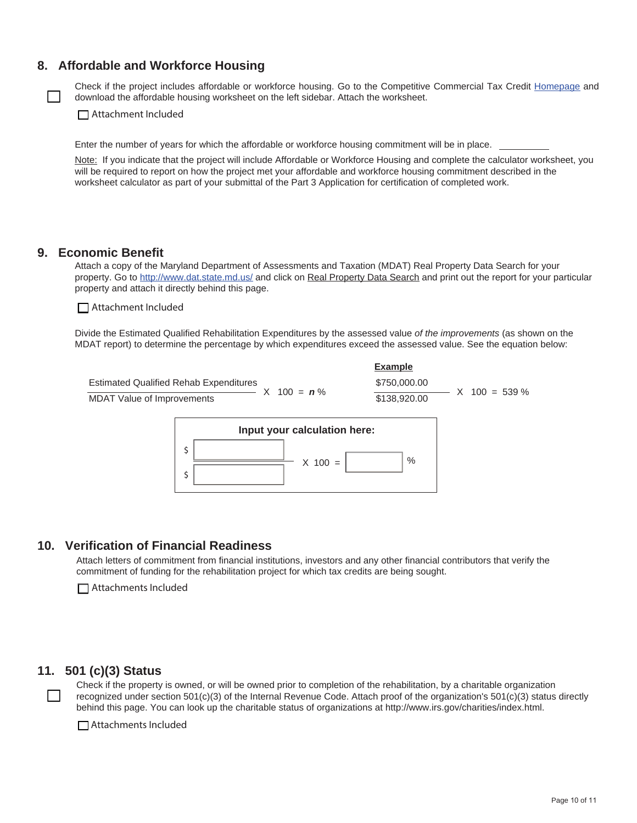### **8. Affordable and Workforce Housing**

Check if the project includes affordable or workforce housing. Go to the Competitive Commercial Tax Credit [Homepage](http://mht.maryland.gov/taxcredits_competitive_commercial.shtml) and download the affordable housing worksheet on the left sidebar. Attach the worksheet.

□ Attachment Included

Enter the number of years for which the affordable or workforce housing commitment will be in place.

Note: If you indicate that the project will include Affordable or Workforce Housing and complete the calculator worksheet, you will be required to report on how the project met your affordable and workforce housing commitment described in the worksheet calculator as part of your submittal of the Part 3 Application for certification of completed work.

#### **9. Economic Benefit**

Attach a copy of the Maryland Department of Assessments and Taxation (MDAT) Real Property Data Search for your property. Go to http://www.dat.state.md.us/ and click on Real Property Data Search and print out the report for your particular property and attach it directly behind this page.

□ Attachment Included

Divide the Estimated Qualified Rehabilitation Expenditures by the assessed value *of the improvements* (as shown on the MDAT report) to determine the percentage by which expenditures exceed the assessed value. See the equation below:





#### **10. Verification of Financial Readiness**

Attach letters of commitment from financial institutions, investors and any other financial contributors that verify the commitment of funding for the rehabilitation project for which tax credits are being sought.

□ Attachments Included

### **11. 501 (c)(3) Status**

Check if the property is owned, or will be owned prior to completion of the rehabilitation, by a charitable organization recognized under section 501(c)(3) of the Internal Revenue Code. Attach proof of the organization's 501(c)(3) status directly behind this page. You can look up the charitable status of organizations at http://www.irs.gov/charities/index.html.

□ Attachments Included